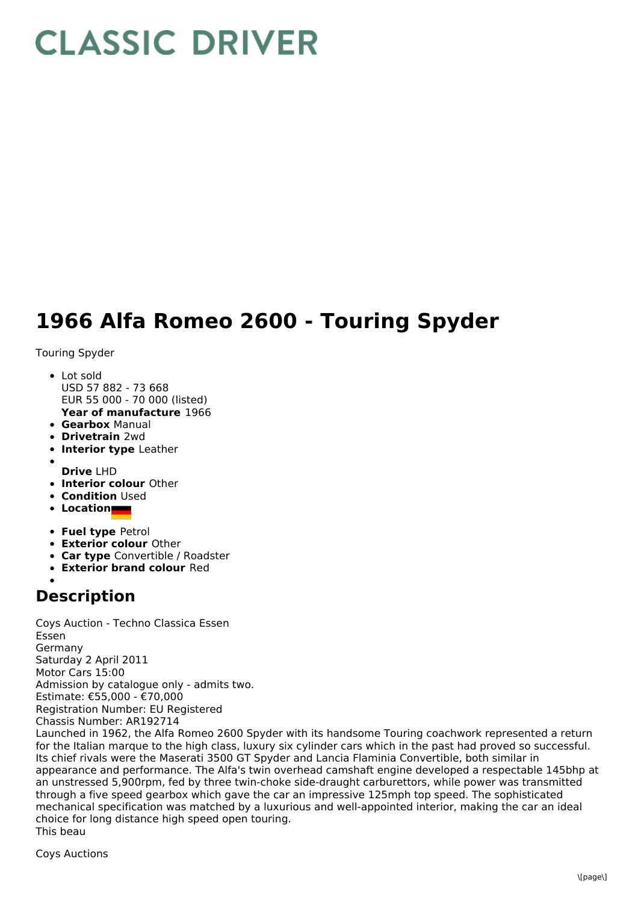## **CLASSIC DRIVER**

## **1966 Alfa Romeo 2600 - Touring Spyder**

Touring Spyder

- Lot sold USD 57 882 - 73 668 EUR 55 000 - 70 000 (listed)
- **Year of manufacture** 1966
- **Gearbox** Manual
- **Drivetrain** 2wd
- **Interior type** Leather
- 
- **Drive** LHD **Interior colour** Other
- **Condition Used**
- **Location**
- **Fuel type** Petrol
- **Exterior colour** Other
- **Car type** Convertible / Roadster
- **Exterior brand colour** Red

## **Description**

Coys Auction - Techno Classica Essen Essen Germany Saturday 2 April 2011 Motor Cars 15:00 Admission by catalogue only - admits two. Estimate: €55,000 - €70,000 Registration Number: EU Registered Chassis Number: AR192714

Launched in 1962, the Alfa Romeo 2600 Spyder with its handsome Touring coachwork represented a return for the Italian marque to the high class, luxury six cylinder cars which in the past had proved so successful. Its chief rivals were the Maserati 3500 GT Spyder and Lancia Flaminia Convertible, both similar in appearance and performance. The Alfa's twin overhead camshaft engine developed a respectable 145bhp at an unstressed 5,900rpm, fed by three twin-choke side-draught carburettors, while power was transmitted through a five speed gearbox which gave the car an impressive 125mph top speed. The sophisticated mechanical specification was matched by a luxurious and well-appointed interior, making the car an ideal choice for long distance high speed open touring. This beau

Coys Auctions